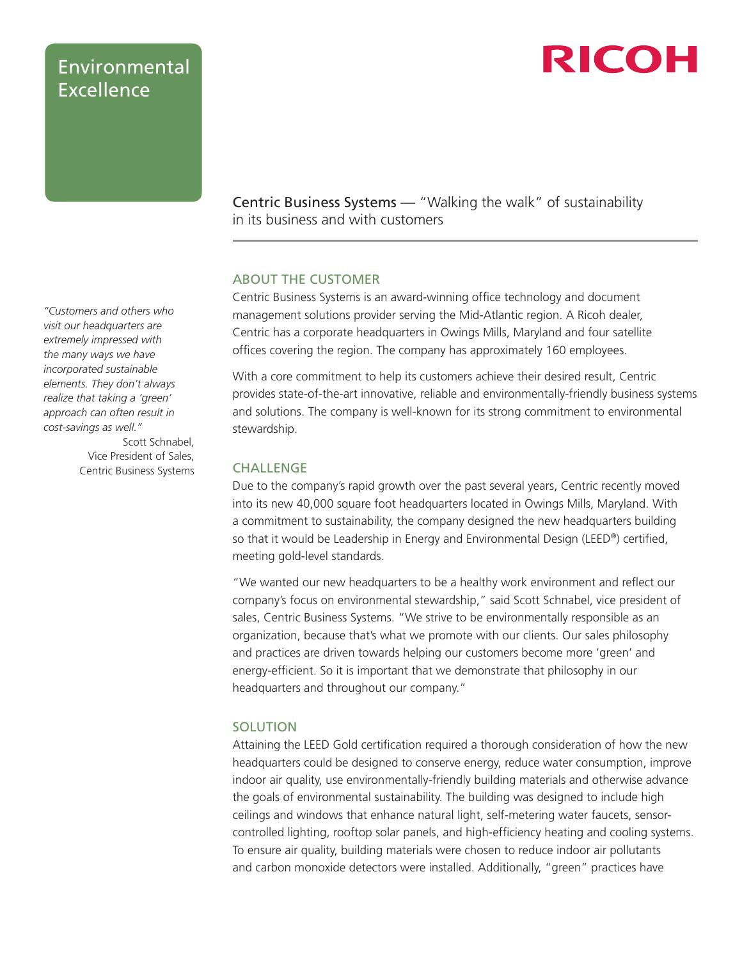### Environmental Excellence

## RICOH

Centric Business Systems — "Walking the walk" of sustainability in its business and with customers

### ABOUT THE CUSTOMER

Centric Business Systems is an award-winning office technology and document management solutions provider serving the Mid-Atlantic region. A Ricoh dealer, Centric has a corporate headquarters in Owings Mills, Maryland and four satellite offices covering the region. The company has approximately 160 employees.

With a core commitment to help its customers achieve their desired result, Centric provides state-of-the-art innovative, reliable and environmentally-friendly business systems and solutions. The company is well-known for its strong commitment to environmental stewardship.

#### **CHALLENGE**

Due to the company's rapid growth over the past several years, Centric recently moved into its new 40,000 square foot headquarters located in Owings Mills, Maryland. With a commitment to sustainability, the company designed the new headquarters building so that it would be Leadership in Energy and Environmental Design (LEED®) certified, meeting gold-level standards.

"We wanted our new headquarters to be a healthy work environment and reflect our company's focus on environmental stewardship," said Scott Schnabel, vice president of sales, Centric Business Systems. "We strive to be environmentally responsible as an organization, because that's what we promote with our clients. Our sales philosophy and practices are driven towards helping our customers become more 'green' and energy-efficient. So it is important that we demonstrate that philosophy in our headquarters and throughout our company."

### SOLUTION

Attaining the LEED Gold certification required a thorough consideration of how the new headquarters could be designed to conserve energy, reduce water consumption, improve indoor air quality, use environmentally-friendly building materials and otherwise advance the goals of environmental sustainability. The building was designed to include high ceilings and windows that enhance natural light, self-metering water faucets, sensorcontrolled lighting, rooftop solar panels, and high-efficiency heating and cooling systems. To ensure air quality, building materials were chosen to reduce indoor air pollutants and carbon monoxide detectors were installed. Additionally, "green" practices have

*"Customers and others who visit our headquarters are extremely impressed with the many ways we have incorporated sustainable elements. They don't always realize that taking a 'green' approach can often result in cost-savings as well."*

Scott Schnabel, Vice President of Sales, Centric Business Systems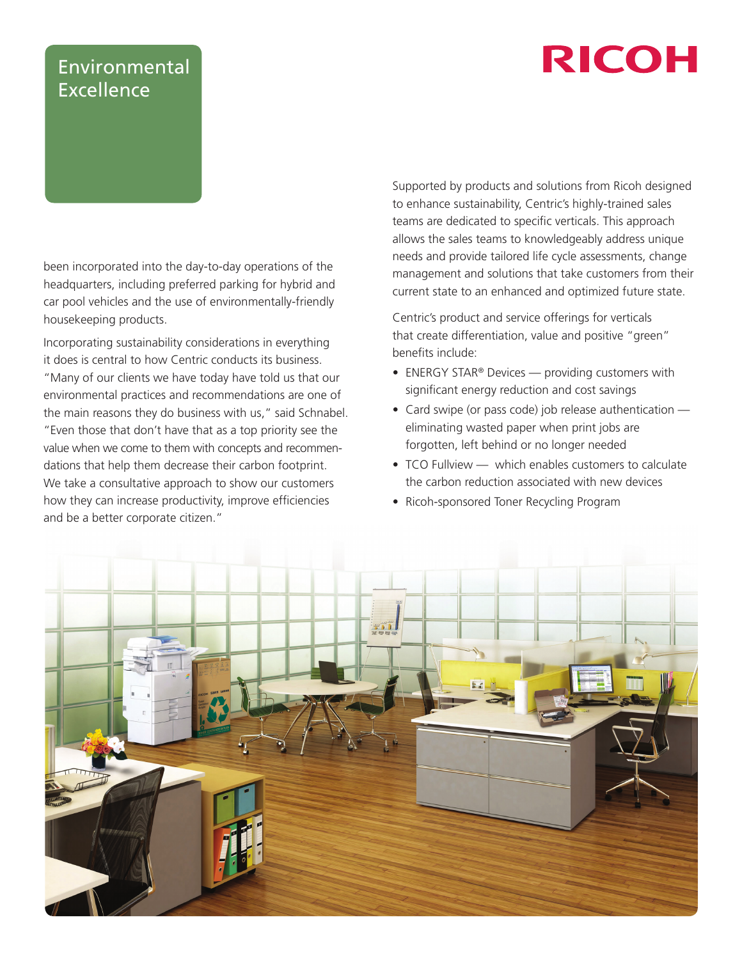# **RICOH**

## Environmental Excellence

been incorporated into the day-to-day operations of the headquarters, including preferred parking for hybrid and car pool vehicles and the use of environmentally-friendly housekeeping products.

Incorporating sustainability considerations in everything it does is central to how Centric conducts its business. "Many of our clients we have today have told us that our environmental practices and recommendations are one of the main reasons they do business with us," said Schnabel. "Even those that don't have that as a top priority see the value when we come to them with concepts and recommendations that help them decrease their carbon footprint. We take a consultative approach to show our customers how they can increase productivity, improve efficiencies and be a better corporate citizen."

Supported by products and solutions from Ricoh designed to enhance sustainability, Centric's highly-trained sales teams are dedicated to specific verticals. This approach allows the sales teams to knowledgeably address unique needs and provide tailored life cycle assessments, change management and solutions that take customers from their current state to an enhanced and optimized future state.

Centric's product and service offerings for verticals that create differentiation, value and positive "green" benefits include:

- ENERGY STAR® Devices providing customers with significant energy reduction and cost savings
- Card swipe (or pass code) job release authentication eliminating wasted paper when print jobs are forgotten, left behind or no longer needed
- TCO Fullview which enables customers to calculate the carbon reduction associated with new devices
- Ricoh-sponsored Toner Recycling Program